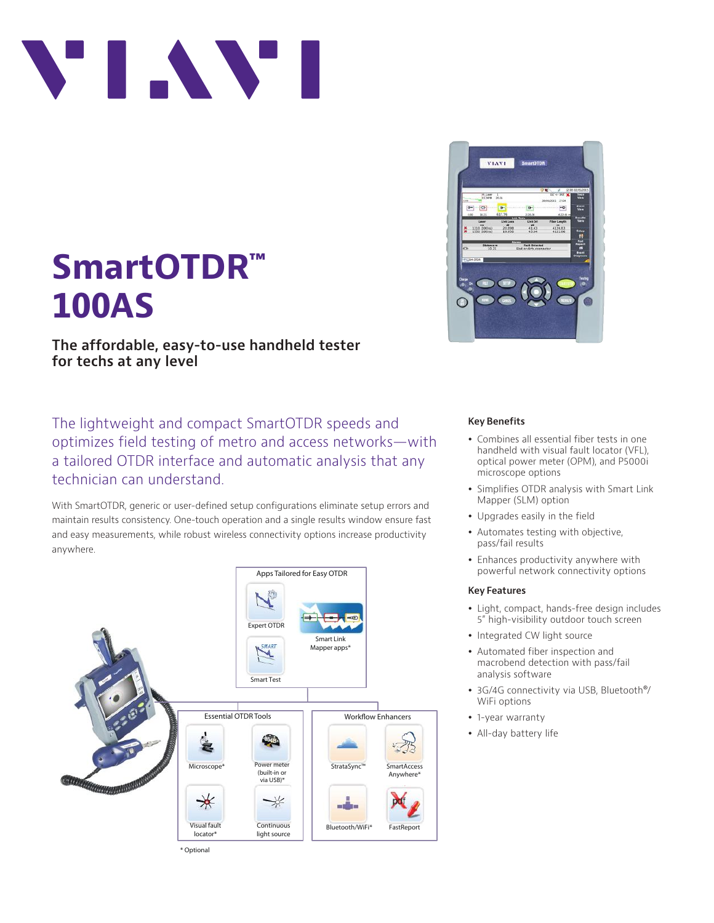

# **SmartOTDR™ 100AS**

**The affordable, easy-to-use handheld tester for techs at any level**

The lightweight and compact SmartOTDR speeds and optimizes field testing of metro and access networks—with a tailored OTDR interface and automatic analysis that any technician can understand.

With SmartOTDR, generic or user-defined setup configurations eliminate setup errors and maintain results consistency. One-touch operation and a single results window ensure fast and easy measurements, while robust wireless connectivity options increase productivity anywhere.





### **Key Benefits**

- Combines all essential fiber tests in one handheld with visual fault locator (VFL), optical power meter (OPM), and P5000i microscope options
- Simplifies OTDR analysis with Smart Link Mapper (SLM) option
- Upgrades easily in the field
- Automates testing with objective, pass/fail results
- Enhances productivity anywhere with powerful network connectivity options

### **Key Features**

- Light, compact, hands-free design includes 5" high-visibility outdoor touch screen
- Integrated CW light source
- Automated fiber inspection and macrobend detection with pass/fail analysis software
- 3G/4G connectivity via USB, Bluetooth<sup>®</sup>/ WiFi options
- 1-year warranty
- All-day battery life

\* Optional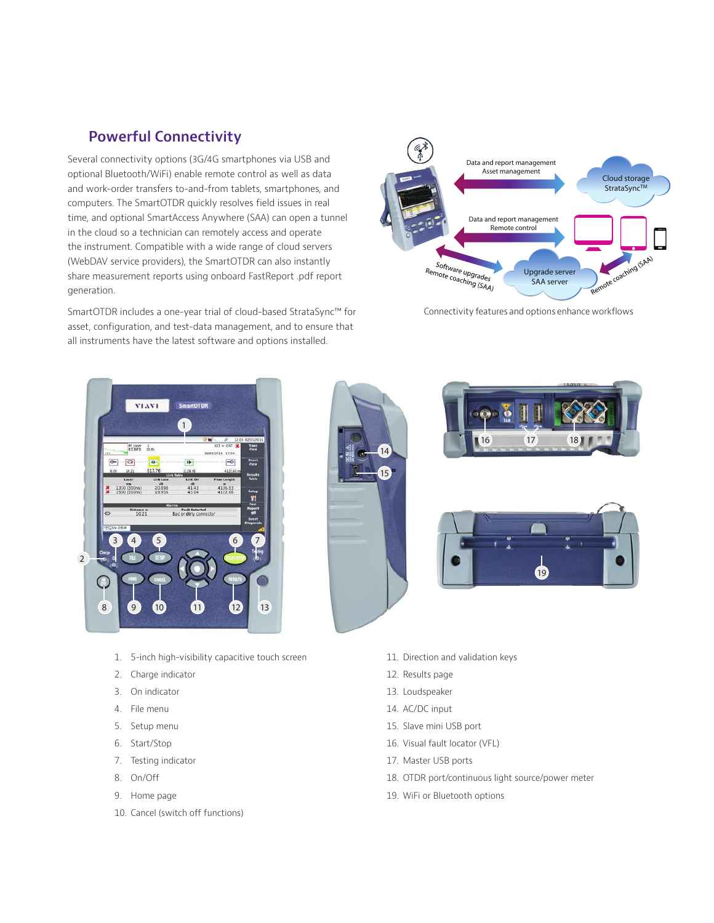## **Powerful Connectivity**

Several connectivity options (3G/4G smartphones via USB and optional Bluetooth/WiFi) enable remote control as well as data and work-order transfers to-and-from tablets, smartphones, and computers. The SmartOTDR quickly resolves field issues in real time, and optional SmartAccess Anywhere (SAA) can open a tunnel in the cloud so a technician can remotely access and operate the instrument. Compatible with a wide range of cloud servers (WebDAV service providers), the SmartOTDR can also instantly share measurement reports using onboard FastReport .pdf report generation.

SmartOTDR includes a one-year trial of cloud-based StrataSync™ for asset, configuration, and test-data management, and to ensure that all instruments have the latest software and options installed.



Connectivity features and options enhance workflows



- 1. 5-inch high-visibility capacitive touch screen
- 2. Charge indicator
- 3. On indicator
- 4. File menu
- 5. Setup menu
- 6. Start/Stop
- 7. Testing indicator
- 8. On/Off
- 9. Home page
- 10. Cancel (switch off functions)





- 11. Direction and validation keys
- 12. Results page
- 13. Loudspeaker
- 14. AC/DC input
- 15. Slave mini USB port
- 16. Visual fault locator (VFL)
- 17. Master USB ports
- 18. OTDR port/continuous light source/power meter
- 19. WiFi or Bluetooth options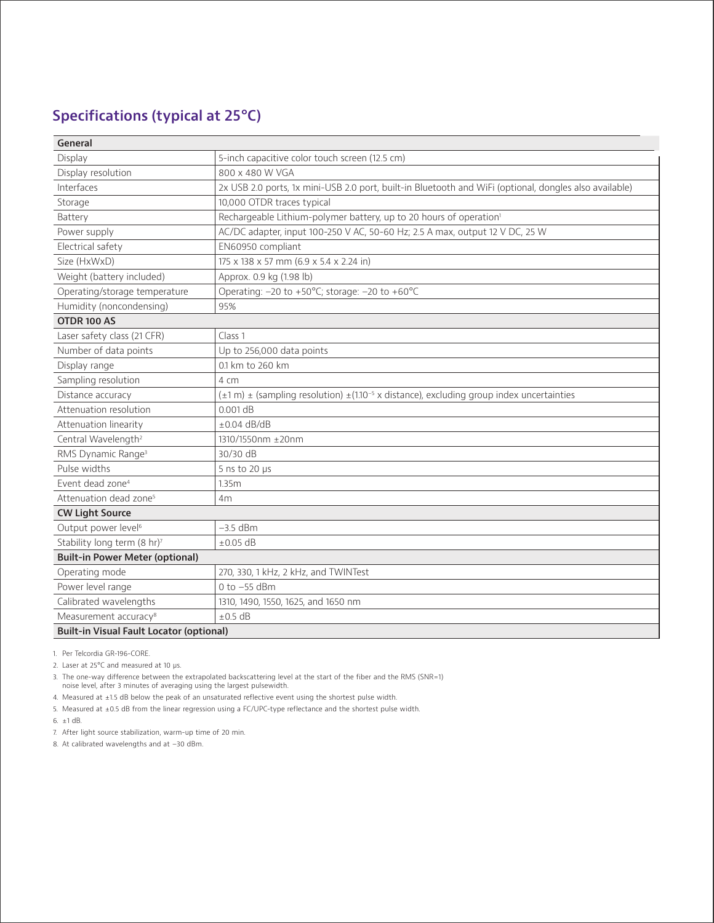## **Specifications (typical at 25°C)**

| General                                         |                                                                                                                          |
|-------------------------------------------------|--------------------------------------------------------------------------------------------------------------------------|
| Display                                         | 5-inch capacitive color touch screen (12.5 cm)                                                                           |
| Display resolution                              | 800 x 480 W VGA                                                                                                          |
| Interfaces                                      | 2x USB 2.0 ports, 1x mini-USB 2.0 port, built-in Bluetooth and WiFi (optional, dongles also available)                   |
| Storage                                         | 10,000 OTDR traces typical                                                                                               |
| Battery                                         | Rechargeable Lithium-polymer battery, up to 20 hours of operation <sup>1</sup>                                           |
| Power supply                                    | AC/DC adapter, input 100-250 V AC, 50-60 Hz; 2.5 A max, output 12 V DC, 25 W                                             |
| Electrical safety                               | EN60950 compliant                                                                                                        |
| Size (HxWxD)                                    | 175 x 138 x 57 mm (6.9 x 5.4 x 2.24 in)                                                                                  |
| Weight (battery included)                       | Approx. 0.9 kg (1.98 lb)                                                                                                 |
| Operating/storage temperature                   | Operating: -20 to +50°C; storage: -20 to +60°C                                                                           |
| Humidity (noncondensing)                        | 95%                                                                                                                      |
| OTDR 100 AS                                     |                                                                                                                          |
| Laser safety class (21 CFR)                     | Class <sub>1</sub>                                                                                                       |
| Number of data points                           | Up to 256,000 data points                                                                                                |
| Display range                                   | 0.1 km to 260 km                                                                                                         |
| Sampling resolution                             | 4 cm                                                                                                                     |
| Distance accuracy                               | $(\pm 1 \text{ m}) \pm$ (sampling resolution) $\pm (1.10^{-5} \text{ x distance})$ , excluding group index uncertainties |
| Attenuation resolution                          | $0.001$ dB                                                                                                               |
| Attenuation linearity                           | $+0.04$ dB/dB                                                                                                            |
| Central Wavelength <sup>2</sup>                 | 1310/1550nm ±20nm                                                                                                        |
| RMS Dynamic Range <sup>3</sup>                  | 30/30 dB                                                                                                                 |
| Pulse widths                                    | 5 ns to 20 $\mu$ s                                                                                                       |
| Event dead zone <sup>4</sup>                    | 1.35m                                                                                                                    |
| Attenuation dead zone <sup>5</sup>              | 4m                                                                                                                       |
| <b>CW Light Source</b>                          |                                                                                                                          |
| Output power level <sup>6</sup>                 | $-3.5$ dBm                                                                                                               |
| Stability long term (8 hr)7                     | $\pm 0.05$ dB                                                                                                            |
| <b>Built-in Power Meter (optional)</b>          |                                                                                                                          |
| Operating mode                                  | 270, 330, 1 kHz, 2 kHz, and TWINTest                                                                                     |
| Power level range                               | $0$ to $-55$ dBm                                                                                                         |
| Calibrated wavelengths                          | 1310, 1490, 1550, 1625, and 1650 nm                                                                                      |
| Measurement accuracy <sup>8</sup>               | $\pm$ 0.5 dB                                                                                                             |
| <b>Built-in Visual Fault Locator (optional)</b> |                                                                                                                          |

1. Per Telcordia GR-196-CORE.

2. Laser at 25°C and measured at 10 µs.

3. The one-way difference between the extrapolated backscattering level at the start of the fiber and the RMS (SNR=1) noise level, after 3 minutes of averaging using the largest pulsewidth.

4. Measured at ±1.5 dB below the peak of an unsaturated reflective event using the shortest pulse width.

5. Measured at ±0.5 dB from the linear regression using a FC/UPC-type reflectance and the shortest pulse width.

6. ±1 dB.

7. After light source stabilization, warm-up time of 20 min.

8. At calibrated wavelengths and at –30 dBm.